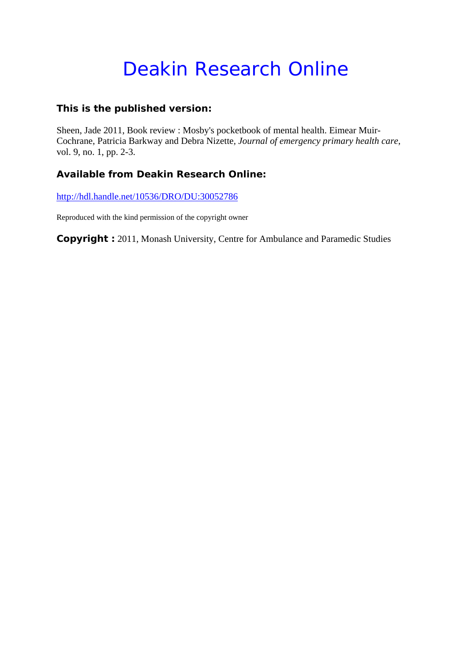# Deakin Research Online

### **This is the published version:**

Sheen, Jade 2011, Book review : Mosby's pocketbook of mental health. Eimear Muir-Cochrane, Patricia Barkway and Debra Nizette*, Journal of emergency primary health care*, vol. 9, no. 1, pp. 2-3.

### **Available from Deakin Research Online:**

http://hdl.handle.net/10536/DRO/DU:30052786

Reproduced with the kind permission of the copyright owner

**Copyright :** 2011, Monash University, Centre for Ambulance and Paramedic Studies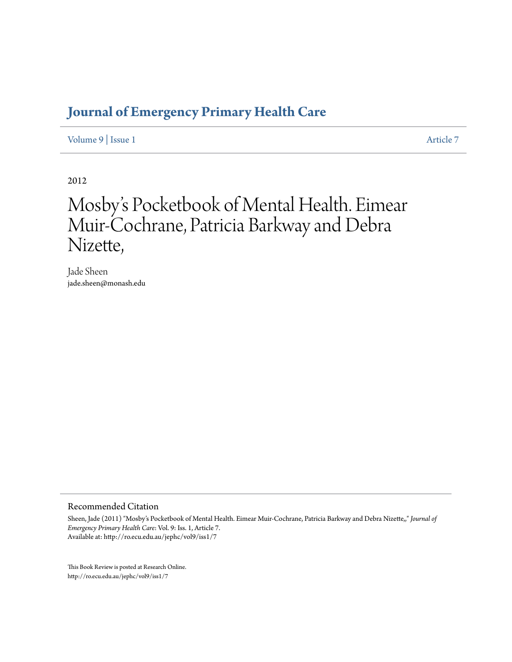### **[Journal of Emergency Primary Health Care](http://ro.ecu.edu.au/jephc)**

[Volume 9](http://ro.ecu.edu.au/jephc/vol9) | [Issue 1](http://ro.ecu.edu.au/jephc/vol9/iss1) [Article 7](http://ro.ecu.edu.au/jephc/vol9/iss1/7)

2012

## Mosby 's Pocketbook of Mental Health. Eimear Muir-Cochrane, Patricia Barkway and Debra Nizette,

Jade Sheen jade.sheen@monash.edu

#### Recommended Citation

Sheen, Jade (2011) "Mosby's Pocketbook of Mental Health. Eimear Muir-Cochrane, Patricia Barkway and Debra Nizette,," *Journal of Emergency Primary Health Care*: Vol. 9: Iss. 1, Article 7. Available at: http://ro.ecu.edu.au/jephc/vol9/iss1/7

This Book Review is posted at Research Online. http://ro.ecu.edu.au/jephc/vol9/iss1/7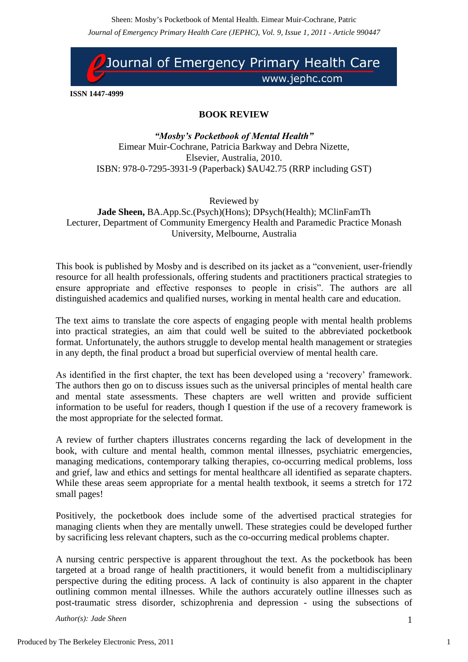*Journal of Emergency Primary Health Care (JEPHC), Vol. 9, Issue 1, 2011 - Article 990447* Sheen: Mosby's Pocketbook of Mental Health. Eimear Muir-Cochrane, Patric



**ISSN 1447-4999**

### **BOOK REVIEW**

*"Mosby's Pocketbook of Mental Health"* Eimear Muir-Cochrane, Patricia Barkway and Debra Nizette, Elsevier, Australia, 2010. ISBN: 978-0-7295-3931-9 (Paperback) \$AU42.75 (RRP including GST)

Reviewed by **Jade Sheen,** BA.App.Sc.(Psych)(Hons); DPsych(Health); MClinFamTh Lecturer, Department of Community Emergency Health and Paramedic Practice Monash University, Melbourne, Australia

This book is published by Mosby and is described on its jacket as a "convenient, user-friendly resource for all health professionals, offering students and practitioners practical strategies to ensure appropriate and effective responses to people in crisis". The authors are all distinguished academics and qualified nurses, working in mental health care and education.

The text aims to translate the core aspects of engaging people with mental health problems into practical strategies, an aim that could well be suited to the abbreviated pocketbook format. Unfortunately, the authors struggle to develop mental health management or strategies in any depth, the final product a broad but superficial overview of mental health care.

As identified in the first chapter, the text has been developed using a "recovery" framework. The authors then go on to discuss issues such as the universal principles of mental health care and mental state assessments. These chapters are well written and provide sufficient information to be useful for readers, though I question if the use of a recovery framework is the most appropriate for the selected format.

A review of further chapters illustrates concerns regarding the lack of development in the book, with culture and mental health, common mental illnesses, psychiatric emergencies, managing medications, contemporary talking therapies, co-occurring medical problems, loss and grief, law and ethics and settings for mental healthcare all identified as separate chapters. While these areas seem appropriate for a mental health textbook, it seems a stretch for 172 small pages!

Positively, the pocketbook does include some of the advertised practical strategies for managing clients when they are mentally unwell. These strategies could be developed further by sacrificing less relevant chapters, such as the co-occurring medical problems chapter.

A nursing centric perspective is apparent throughout the text. As the pocketbook has been targeted at a broad range of health practitioners, it would benefit from a multidisciplinary perspective during the editing process. A lack of continuity is also apparent in the chapter outlining common mental illnesses. While the authors accurately outline illnesses such as post-traumatic stress disorder, schizophrenia and depression - using the subsections of

*Author(s): Jade Sheen* 1